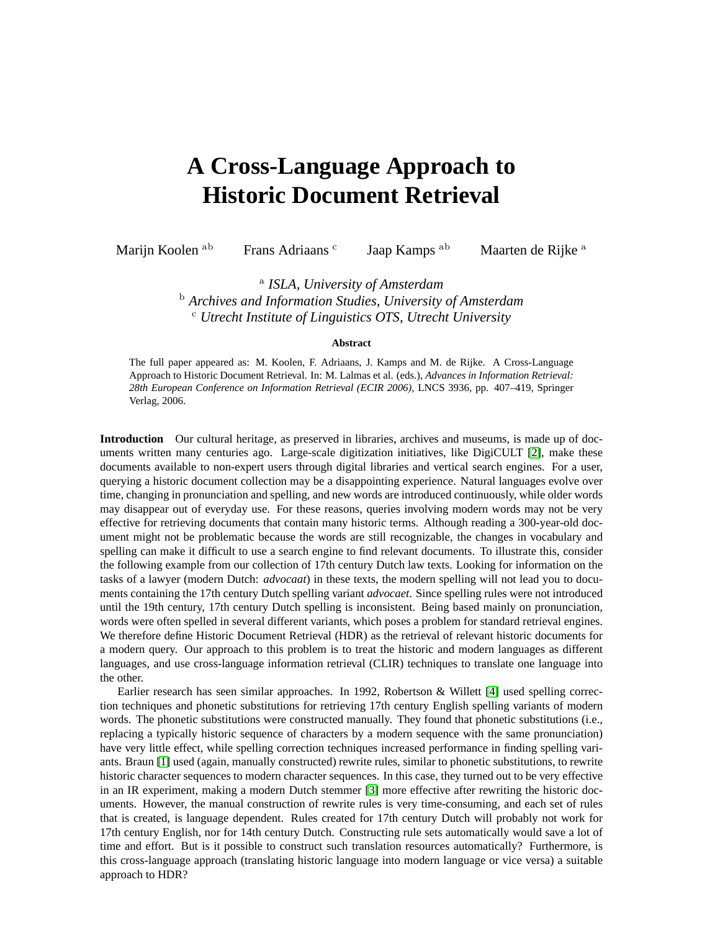## **A Cross-Language Approach to Historic Document Retrieval**

Marijn Koolen ab Frans Adriaans c

Jaap Kamps <sup>ab</sup> Maarten de Rijke <sup>a</sup>

a *ISLA, University of Amsterdam* <sup>b</sup> *Archives and Information Studies, University of Amsterdam* <sup>c</sup> *Utrecht Institute of Linguistics OTS, Utrecht University*

## **Abstract**

The full paper appeared as: M. Koolen, F. Adriaans, J. Kamps and M. de Rijke. A Cross-Language Approach to Historic Document Retrieval. In: M. Lalmas et al. (eds.), *Advances in Information Retrieval: 28th European Conference on Information Retrieval (ECIR 2006)*, LNCS 3936, pp. 407–419, Springer Verlag, 2006.

**Introduction** Our cultural heritage, as preserved in libraries, archives and museums, is made up of documents written many centuries ago. Large-scale digitization initiatives, like DigiCULT [\[2\]](#page-1-0), make these documents available to non-expert users through digital libraries and vertical search engines. For a user, querying a historic document collection may be a disappointing experience. Natural languages evolve over time, changing in pronunciation and spelling, and new words are introduced continuously, while older words may disappear out of everyday use. For these reasons, queries involving modern words may not be very effective for retrieving documents that contain many historic terms. Although reading a 300-year-old document might not be problematic because the words are still recognizable, the changes in vocabulary and spelling can make it difficult to use a search engine to find relevant documents. To illustrate this, consider the following example from our collection of 17th century Dutch law texts. Looking for information on the tasks of a lawyer (modern Dutch: *advocaat*) in these texts, the modern spelling will not lead you to documents containing the 17th century Dutch spelling variant *advocaet*. Since spelling rules were not introduced until the 19th century, 17th century Dutch spelling is inconsistent. Being based mainly on pronunciation, words were often spelled in several different variants, which poses a problem for standard retrieval engines. We therefore define Historic Document Retrieval (HDR) as the retrieval of relevant historic documents for a modern query. Our approach to this problem is to treat the historic and modern languages as different languages, and use cross-language information retrieval (CLIR) techniques to translate one language into the other.

Earlier research has seen similar approaches. In 1992, Robertson & Willett [\[4\]](#page-1-1) used spelling correction techniques and phonetic substitutions for retrieving 17th century English spelling variants of modern words. The phonetic substitutions were constructed manually. They found that phonetic substitutions (i.e., replacing a typically historic sequence of characters by a modern sequence with the same pronunciation) have very little effect, while spelling correction techniques increased performance in finding spelling variants. Braun [\[1\]](#page-1-2) used (again, manually constructed) rewrite rules, similar to phonetic substitutions, to rewrite historic character sequences to modern character sequences. In this case, they turned out to be very effective in an IR experiment, making a modern Dutch stemmer [\[3\]](#page-1-3) more effective after rewriting the historic documents. However, the manual construction of rewrite rules is very time-consuming, and each set of rules that is created, is language dependent. Rules created for 17th century Dutch will probably not work for 17th century English, nor for 14th century Dutch. Constructing rule sets automatically would save a lot of time and effort. But is it possible to construct such translation resources automatically? Furthermore, is this cross-language approach (translating historic language into modern language or vice versa) a suitable approach to HDR?